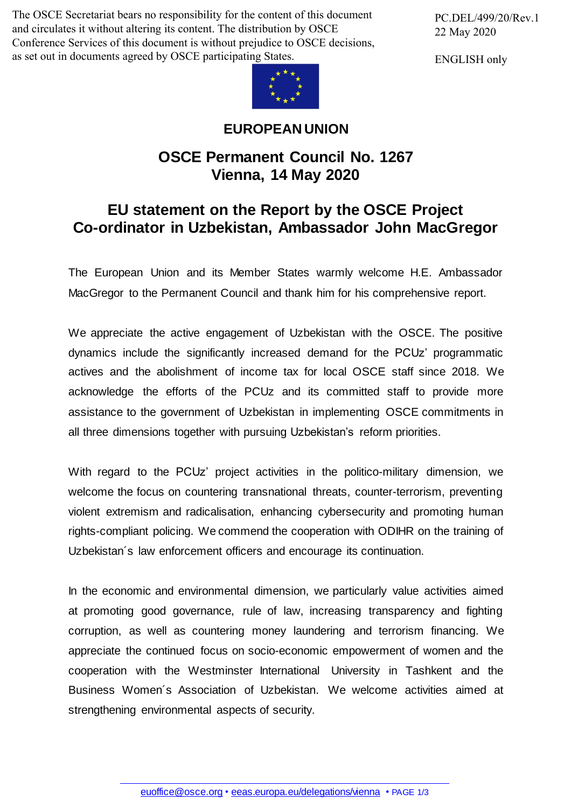The OSCE Secretariat bears no responsibility for the content of this document and circulates it without altering its content. The distribution by OSCE Conference Services of this document is without prejudice to OSCE decisions, as set out in documents agreed by OSCE participating States.

PC.DEL/499/20/Rev.1 22 May 2020

ENGLISH only



## **EUROPEAN UNION**

## **OSCE Permanent Council No. 1267 Vienna, 14 May 2020**

## **EU statement on the Report by the OSCE Project Co-ordinator in Uzbekistan, Ambassador John MacGregor**

The European Union and its Member States warmly welcome H.E. Ambassador MacGregor to the Permanent Council and thank him for his comprehensive report.

We appreciate the active engagement of Uzbekistan with the OSCE. The positive dynamics include the significantly increased demand for the PCUz' programmatic actives and the abolishment of income tax for local OSCE staff since 2018. We acknowledge the efforts of the PCUz and its committed staff to provide more assistance to the government of Uzbekistan in implementing OSCE commitments in all three dimensions together with pursuing Uzbekistan's reform priorities.

With regard to the PCUz' project activities in the politico-military dimension, we welcome the focus on countering transnational threats, counter-terrorism, preventing violent extremism and radicalisation, enhancing cybersecurity and promoting human rights-compliant policing. We commend the cooperation with ODIHR on the training of Uzbekistan´s law enforcement officers and encourage its continuation.

In the economic and environmental dimension, we particularly value activities aimed at promoting good governance, rule of law, increasing transparency and fighting corruption, as well as countering money laundering and terrorism financing. We appreciate the continued focus on socio-economic empowerment of women and the cooperation with the Westminster International University in Tashkent and the Business Women´s Association of Uzbekistan. We welcome activities aimed at strengthening environmental aspects of security.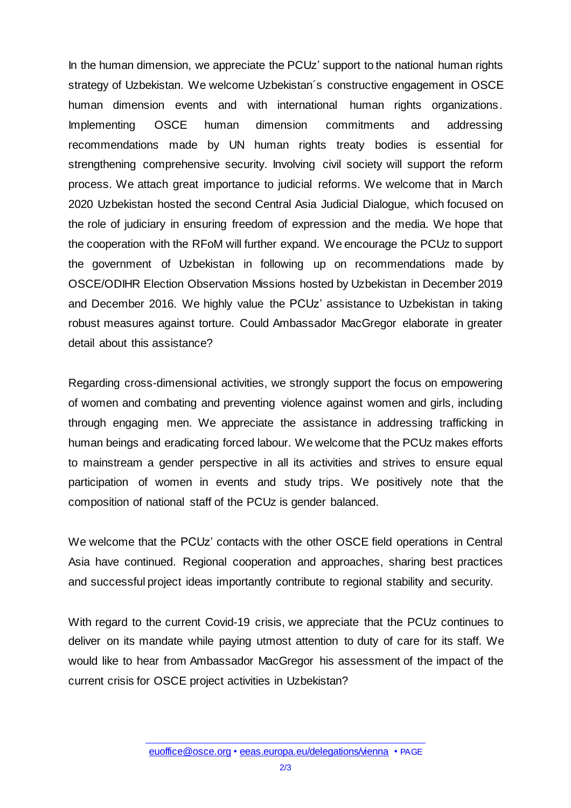In the human dimension, we appreciate the PCUz' support to the national human rights strategy of Uzbekistan. We welcome Uzbekistan´s constructive engagement in OSCE human dimension events and with international human rights organizations. Implementing OSCE human dimension commitments and addressing recommendations made by UN human rights treaty bodies is essential for strengthening comprehensive security. Involving civil society will support the reform process. We attach great importance to judicial reforms. We welcome that in March 2020 Uzbekistan hosted the second Central Asia Judicial Dialogue, which focused on the role of judiciary in ensuring freedom of expression and the media. We hope that the cooperation with the RFoM will further expand. We encourage the PCUz to support the government of Uzbekistan in following up on recommendations made by OSCE/ODIHR Election Observation Missions hosted by Uzbekistan in December 2019 and December 2016. We highly value the PCUz' assistance to Uzbekistan in taking robust measures against torture. Could Ambassador MacGregor elaborate in greater detail about this assistance?

Regarding cross-dimensional activities, we strongly support the focus on empowering of women and combating and preventing violence against women and girls, including through engaging men. We appreciate the assistance in addressing trafficking in human beings and eradicating forced labour. We welcome that the PCUz makes efforts to mainstream a gender perspective in all its activities and strives to ensure equal participation of women in events and study trips. We positively note that the composition of national staff of the PCUz is gender balanced.

We welcome that the PCUz' contacts with the other OSCE field operations in Central Asia have continued. Regional cooperation and approaches, sharing best practices and successful project ideas importantly contribute to regional stability and security.

With regard to the current Covid-19 crisis, we appreciate that the PCUz continues to deliver on its mandate while paying utmost attention to duty of care for its staff. We would like to hear from Ambassador MacGregor his assessment of the impact of the current crisis for OSCE project activities in Uzbekistan?